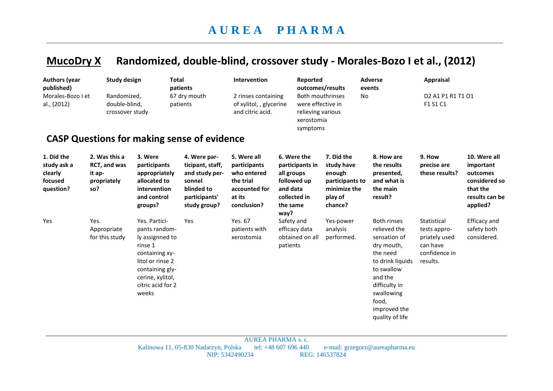## **MucoDry X Randomized, double-blind, crossover study - Morales-Bozo I et al., (2012)**

| <b>Authors (year</b><br>published)<br>Morales-Bozo I et<br>al., (2012) |                                                               | <b>Study design</b><br>Randomized,<br>double-blind,<br>crossover study                                                                                                  | <b>Total</b><br>patients<br>67 dry mouth<br>patients<br><b>CASP Questions for making sense of evidence</b>  | Intervention<br>2 rinses containing<br>of xylitol, , glycerine<br>and citric acid.                |                                                                                                             | Reported<br>outcomes/results<br><b>Both mouthrinses</b><br>were effective in<br>relieving various<br>xerostomia<br>symptoms |                                                                                             | <b>Adverse</b><br>events<br>No                                                                                                                                                                       | <b>Appraisal</b><br>D2 A1 P1 R1 T1 O1<br>F1 S1 C1                                     |                                                                                                  |
|------------------------------------------------------------------------|---------------------------------------------------------------|-------------------------------------------------------------------------------------------------------------------------------------------------------------------------|-------------------------------------------------------------------------------------------------------------|---------------------------------------------------------------------------------------------------|-------------------------------------------------------------------------------------------------------------|-----------------------------------------------------------------------------------------------------------------------------|---------------------------------------------------------------------------------------------|------------------------------------------------------------------------------------------------------------------------------------------------------------------------------------------------------|---------------------------------------------------------------------------------------|--------------------------------------------------------------------------------------------------|
| 1. Did the<br>study ask a<br>clearly<br>focused<br>question?           | 2. Was this a<br>RCT, and was<br>it ap-<br>propriately<br>so? | 3. Were<br>participants<br>appropriately<br>allocated to<br>intervention<br>and control<br>groups?                                                                      | 4. Were par-<br>ticipant, staff,<br>and study per-<br>sonnel<br>blinded to<br>participants'<br>study group? | 5. Were all<br>participants<br>who entered<br>the trial<br>accounted for<br>at its<br>conclusion? | 6. Were the<br>participants in<br>all groups<br>followed up<br>and data<br>collected in<br>the same<br>way? |                                                                                                                             | 7. Did the<br>study have<br>enough<br>participants to<br>minimize the<br>play of<br>chance? | 8. How are<br>the results<br>presented,<br>and what is<br>the main<br>result?                                                                                                                        | 9. How<br>precise are<br>these results?                                               | 10. Were all<br>important<br>outcomes<br>considered so<br>that the<br>results can be<br>applied? |
| Yes                                                                    | Yes.<br>Appropriate<br>for this study                         | Yes. Partici-<br>pants random-<br>ly assignned to<br>rinse 1<br>containing xy-<br>litol or rinse 2<br>containing gly-<br>cerine, xylitol,<br>citric acid for 2<br>weeks | Yes                                                                                                         | Yes. 67<br>patients with<br>xerostomia                                                            | Safety and<br>efficacy data<br>patients                                                                     | obtained on all                                                                                                             | Yes-power<br>analysis<br>performed.                                                         | <b>Both rinses</b><br>relieved the<br>sensation of<br>dry mouth,<br>the need<br>to drink liquids<br>to swallow<br>and the<br>difficulty in<br>swallowing<br>food,<br>improved the<br>quality of life | Statistical<br>tests appro-<br>priately used<br>can have<br>confidence in<br>results. | <b>Efficacy</b> and<br>safety both<br>considered.                                                |